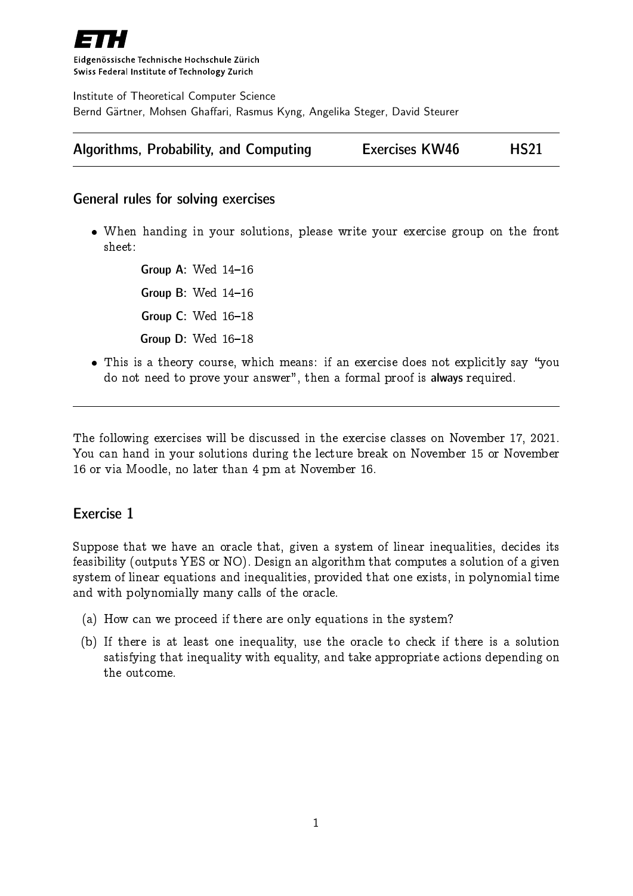

Eidgenössische Technische Hochschule Zürich Swiss Federal Institute of Technology Zurich

Institute of Theoretical Computer Science Bernd Gärtner, Mohsen Ghaffari, Rasmus Kyng, Angelika Steger, David Steurer

| <b>Algorithms, Probability, and Computing</b> | <b>Exercises KW46</b> |  | <b>HS21</b> |
|-----------------------------------------------|-----------------------|--|-------------|
|-----------------------------------------------|-----------------------|--|-------------|

## General rules for solving exercises

 When handing in your solutions, please write your exercise group on the front sheet:

> Group A: Wed  $14-16$ Group B: Wed  $14-16$ Group  $C:$  Wed  $16-18$ Group  $D$ : Wed  $16-18$

• This is a theory course, which means: if an exercise does not explicitly say "you do not need to prove your answer", then a formal proof is always required.

The following exercises will be discussed in the exercise classes on November 17, 2021. You can hand in your solutions during the lecture break on November 15 or November 16 or via Moodle, no later than 4 pm at November 16.

## Exercise 1

Suppose that we have an oracle that, given a system of linear inequalities, decides its feasibility (outputs YES or NO). Design an algorithm that computes a solution of a given system of linear equations and inequalities, provided that one exists, in polynomial time and with polynomially many calls of the oracle.

- (a) How can we proceed if there are only equations in the system?
- (b) If there is at least one inequality, use the oracle to check if there is a solution satisfying that inequality with equality, and take appropriate actions depending on the outcome.